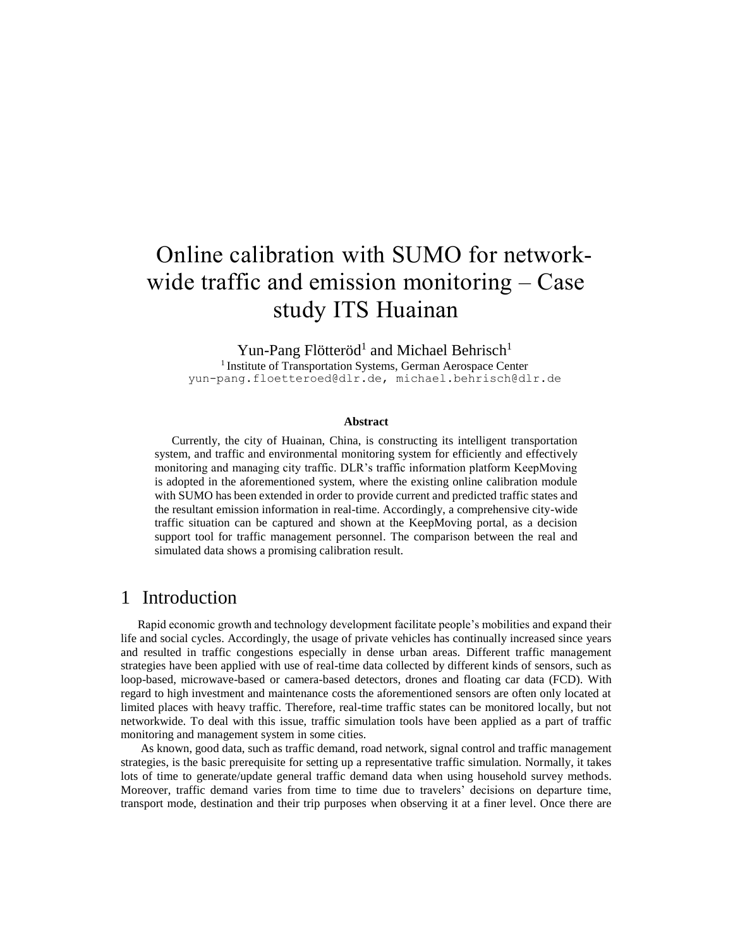# Online calibration with SUMO for networkwide traffic and emission monitoring – Case study ITS Huainan

Yun-Pang Flötteröd<sup>1</sup> and Michael Behrisch<sup>1</sup> <sup>1</sup> Institute of Transportation Systems, German Aerospace Center yun-pang.floetteroed@dlr.de, michael.behrisch@dlr.de

#### **Abstract**

Currently, the city of Huainan, China, is constructing its intelligent transportation system, and traffic and environmental monitoring system for efficiently and effectively monitoring and managing city traffic. DLR's traffic information platform KeepMoving is adopted in the aforementioned system, where the existing online calibration module with SUMO has been extended in order to provide current and predicted traffic states and the resultant emission information in real-time. Accordingly, a comprehensive city-wide traffic situation can be captured and shown at the KeepMoving portal, as a decision support tool for traffic management personnel. The comparison between the real and simulated data shows a promising calibration result.

# 1 Introduction

Rapid economic growth and technology development facilitate people's mobilities and expand their life and social cycles. Accordingly, the usage of private vehicles has continually increased since years and resulted in traffic congestions especially in dense urban areas. Different traffic management strategies have been applied with use of real-time data collected by different kinds of sensors, such as loop-based, microwave-based or camera-based detectors, drones and floating car data (FCD). With regard to high investment and maintenance costs the aforementioned sensors are often only located at limited places with heavy traffic. Therefore, real-time traffic states can be monitored locally, but not networkwide. To deal with this issue, traffic simulation tools have been applied as a part of traffic monitoring and management system in some cities.

As known, good data, such as traffic demand, road network, signal control and traffic management strategies, is the basic prerequisite for setting up a representative traffic simulation. Normally, it takes lots of time to generate/update general traffic demand data when using household survey methods. Moreover, traffic demand varies from time to time due to travelers' decisions on departure time, transport mode, destination and their trip purposes when observing it at a finer level. Once there are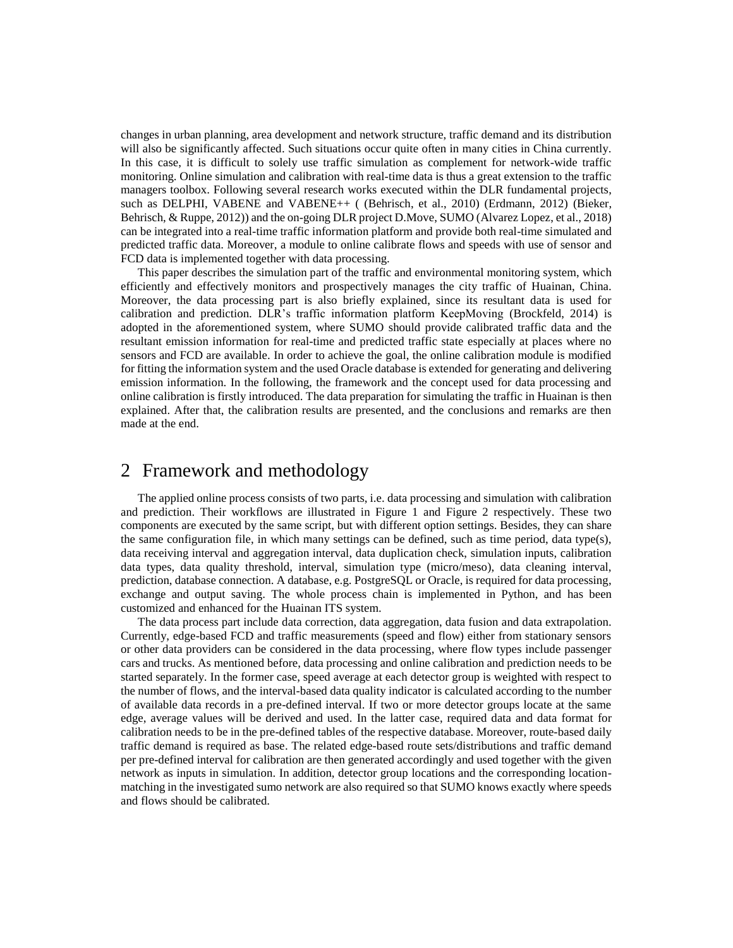changes in urban planning, area development and network structure, traffic demand and its distribution will also be significantly affected. Such situations occur quite often in many cities in China currently. In this case, it is difficult to solely use traffic simulation as complement for network-wide traffic monitoring. Online simulation and calibration with real-time data is thus a great extension to the traffic managers toolbox. Following several research works executed within the DLR fundamental projects, such as DELPHI, VABENE and VABENE++ ( (Behrisch, et al., 2010) (Erdmann, 2012) (Bieker, Behrisch, & Ruppe, 2012)) and the on-going DLR project D.Move, SUMO (Alvarez Lopez, et al., 2018) can be integrated into a real-time traffic information platform and provide both real-time simulated and predicted traffic data. Moreover, a module to online calibrate flows and speeds with use of sensor and FCD data is implemented together with data processing.

This paper describes the simulation part of the traffic and environmental monitoring system, which efficiently and effectively monitors and prospectively manages the city traffic of Huainan, China. Moreover, the data processing part is also briefly explained, since its resultant data is used for calibration and prediction. DLR's traffic information platform KeepMoving (Brockfeld, 2014) is adopted in the aforementioned system, where SUMO should provide calibrated traffic data and the resultant emission information for real-time and predicted traffic state especially at places where no sensors and FCD are available. In order to achieve the goal, the online calibration module is modified for fitting the information system and the used Oracle database is extended for generating and delivering emission information. In the following, the framework and the concept used for data processing and online calibration is firstly introduced. The data preparation for simulating the traffic in Huainan is then explained. After that, the calibration results are presented, and the conclusions and remarks are then made at the end.

# <span id="page-1-0"></span>2 Framework and methodology

The applied online process consists of two parts, i.e. data processing and simulation with calibration and prediction. Their workflows are illustrated in [Figure 1](#page-2-0) and [Figure 2](#page-3-0) respectively. These two components are executed by the same script, but with different option settings. Besides, they can share the same configuration file, in which many settings can be defined, such as time period, data type(s), data receiving interval and aggregation interval, data duplication check, simulation inputs, calibration data types, data quality threshold, interval, simulation type (micro/meso), data cleaning interval, prediction, database connection. A database, e.g. PostgreSQL or Oracle, is required for data processing, exchange and output saving. The whole process chain is implemented in Python, and has been customized and enhanced for the Huainan ITS system.

The data process part include data correction, data aggregation, data fusion and data extrapolation. Currently, edge-based FCD and traffic measurements (speed and flow) either from stationary sensors or other data providers can be considered in the data processing, where flow types include passenger cars and trucks. As mentioned before, data processing and online calibration and prediction needs to be started separately. In the former case, speed average at each detector group is weighted with respect to the number of flows, and the interval-based data quality indicator is calculated according to the number of available data records in a pre-defined interval. If two or more detector groups locate at the same edge, average values will be derived and used. In the latter case, required data and data format for calibration needs to be in the pre-defined tables of the respective database. Moreover, route-based daily traffic demand is required as base. The related edge-based route sets/distributions and traffic demand per pre-defined interval for calibration are then generated accordingly and used together with the given network as inputs in simulation. In addition, detector group locations and the corresponding locationmatching in the investigated sumo network are also required so that SUMO knows exactly where speeds and flows should be calibrated.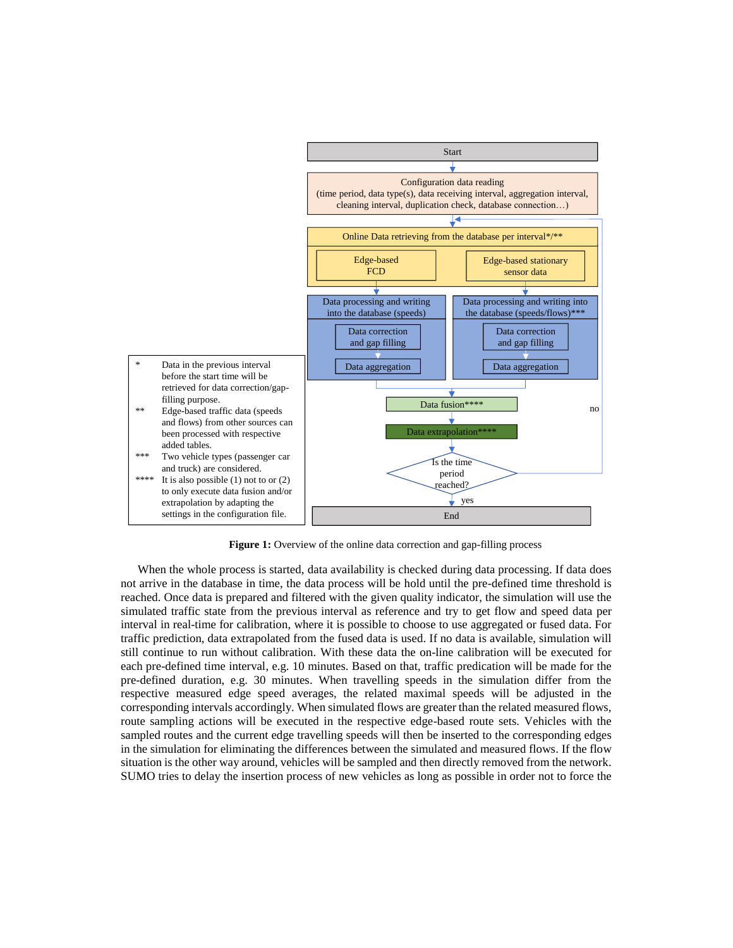

<span id="page-2-0"></span>Figure 1: Overview of the online data correction and gap-filling process

When the whole process is started, data availability is checked during data processing. If data does not arrive in the database in time, the data process will be hold until the pre-defined time threshold is reached. Once data is prepared and filtered with the given quality indicator, the simulation will use the simulated traffic state from the previous interval as reference and try to get flow and speed data per interval in real-time for calibration, where it is possible to choose to use aggregated or fused data. For traffic prediction, data extrapolated from the fused data is used. If no data is available, simulation will still continue to run without calibration. With these data the on-line calibration will be executed for each pre-defined time interval, e.g. 10 minutes. Based on that, traffic predication will be made for the pre-defined duration, e.g. 30 minutes. When travelling speeds in the simulation differ from the respective measured edge speed averages, the related maximal speeds will be adjusted in the corresponding intervals accordingly. When simulated flows are greater than the related measured flows, route sampling actions will be executed in the respective edge-based route sets. Vehicles with the sampled routes and the current edge travelling speeds will then be inserted to the corresponding edges in the simulation for eliminating the differences between the simulated and measured flows. If the flow situation is the other way around, vehicles will be sampled and then directly removed from the network. SUMO tries to delay the insertion process of new vehicles as long as possible in order not to force the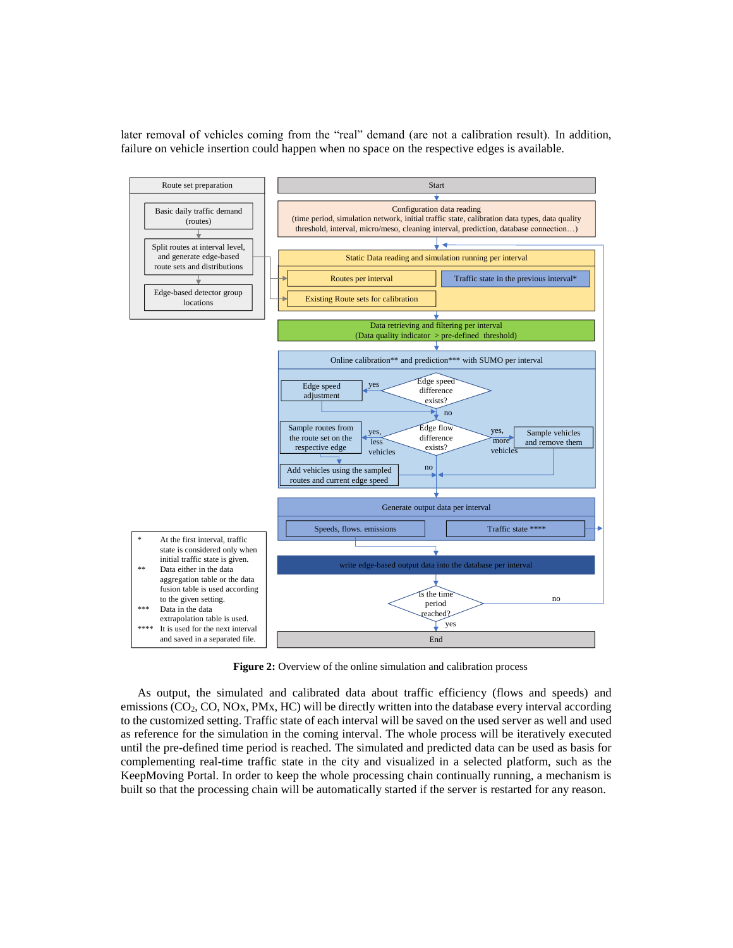later removal of vehicles coming from the "real" demand (are not a calibration result). In addition, failure on vehicle insertion could happen when no space on the respective edges is available.



<span id="page-3-0"></span>**Figure 2:** Overview of the online simulation and calibration process

As output, the simulated and calibrated data about traffic efficiency (flows and speeds) and emissions (CO2, CO, NOx, PMx, HC) will be directly written into the database every interval according to the customized setting. Traffic state of each interval will be saved on the used server as well and used as reference for the simulation in the coming interval. The whole process will be iteratively executed until the pre-defined time period is reached. The simulated and predicted data can be used as basis for complementing real-time traffic state in the city and visualized in a selected platform, such as the KeepMoving Portal. In order to keep the whole processing chain continually running, a mechanism is built so that the processing chain will be automatically started if the server is restarted for any reason.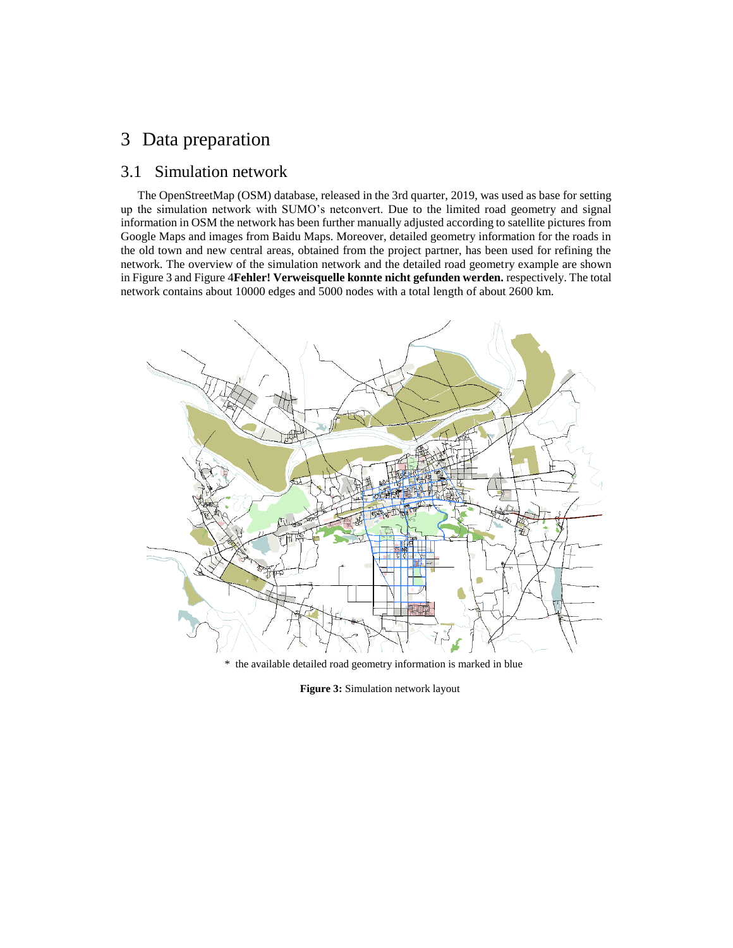# 3 Data preparation

## 3.1 Simulation network

The OpenStreetMap (OSM) database, released in the 3rd quarter, 2019, was used as base for setting up the simulation network with SUMO's netconvert. Due to the limited road geometry and signal information in OSM the network has been further manually adjusted according to satellite pictures from Google Maps and images from Baidu Maps. Moreover, detailed geometry information for the roads in the old town and new central areas, obtained from the project partner, has been used for refining the network. The overview of the simulation network and the detailed road geometry example are shown i[n Figure 3](#page-4-0) an[d Figure 4](#page-5-0)**Fehler! Verweisquelle konnte nicht gefunden werden.** respectively. The total network contains about 10000 edges and 5000 nodes with a total length of about 2600 km.



<span id="page-4-0"></span>\* the available detailed road geometry information is marked in blue

**Figure 3:** Simulation network layout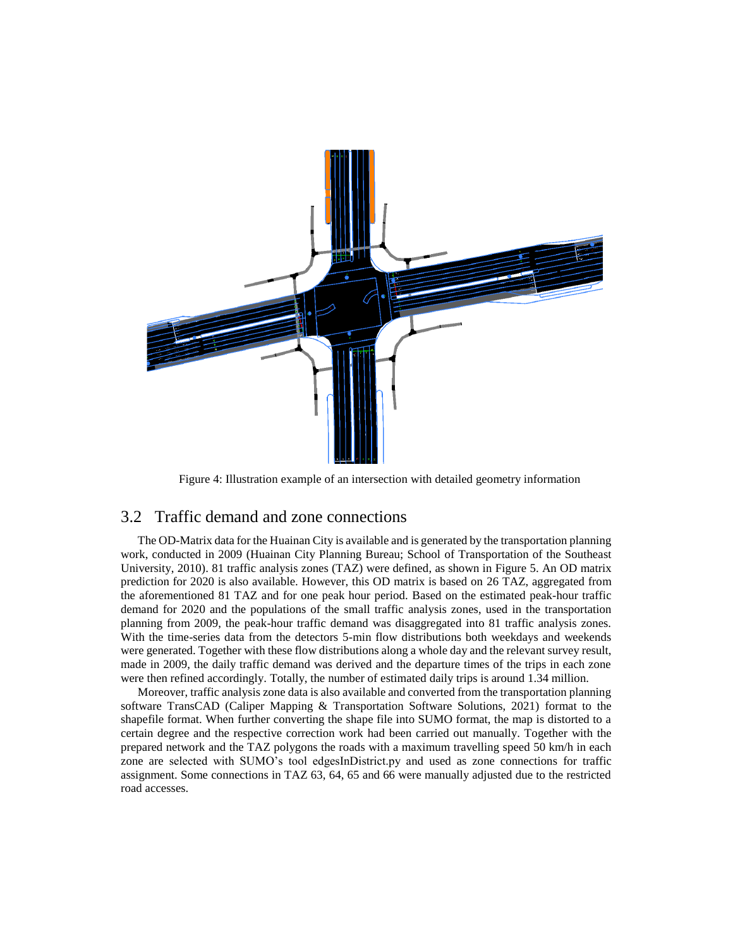

<span id="page-5-1"></span><span id="page-5-0"></span>Figure 4: Illustration example of an intersection with detailed geometry information

### 3.2 Traffic demand and zone connections

The OD-Matrix data for the Huainan City is available and is generated by the transportation planning work, conducted in 2009 (Huainan City Planning Bureau; School of Transportation of the Southeast University, 2010). 81 traffic analysis zones (TAZ) were defined, as shown in [Figure 5.](#page-6-0) An OD matrix prediction for 2020 is also available. However, this OD matrix is based on 26 TAZ, aggregated from the aforementioned 81 TAZ and for one peak hour period. Based on the estimated peak-hour traffic demand for 2020 and the populations of the small traffic analysis zones, used in the transportation planning from 2009, the peak-hour traffic demand was disaggregated into 81 traffic analysis zones. With the time-series data from the detectors 5-min flow distributions both weekdays and weekends were generated. Together with these flow distributions along a whole day and the relevant survey result, made in 2009, the daily traffic demand was derived and the departure times of the trips in each zone were then refined accordingly. Totally, the number of estimated daily trips is around 1.34 million.

Moreover, traffic analysis zone data is also available and converted from the transportation planning software TransCAD (Caliper Mapping & Transportation Software Solutions, 2021) format to the shapefile format. When further converting the shape file into SUMO format, the map is distorted to a certain degree and the respective correction work had been carried out manually. Together with the prepared network and the TAZ polygons the roads with a maximum travelling speed 50 km/h in each zone are selected with SUMO's tool edgesInDistrict.py and used as zone connections for traffic assignment. Some connections in TAZ 63, 64, 65 and 66 were manually adjusted due to the restricted road accesses.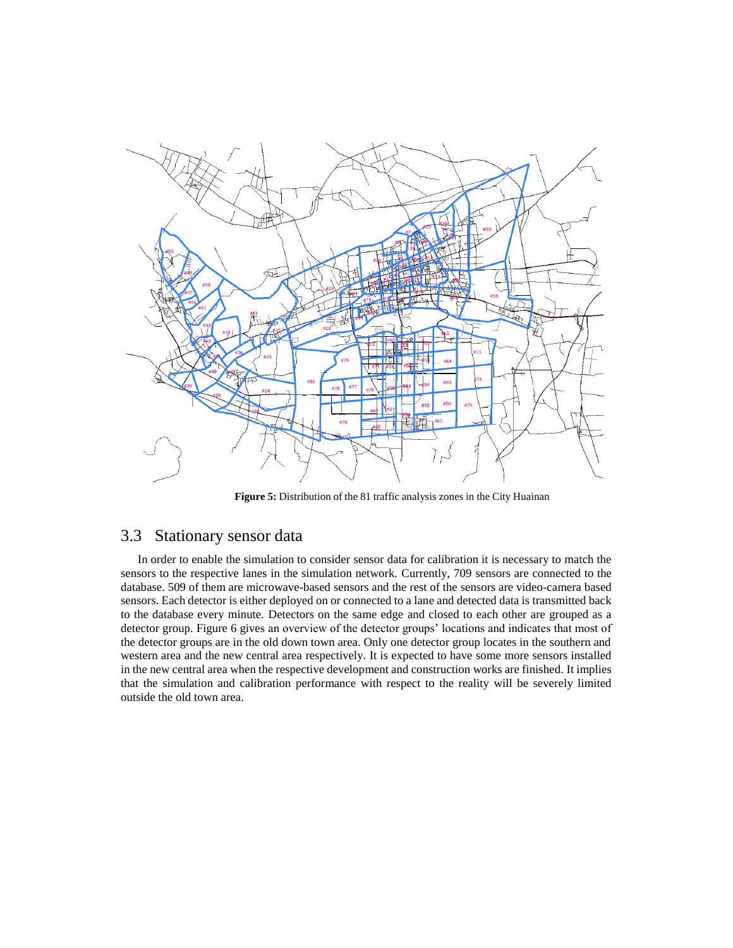

<span id="page-6-0"></span>**Figure 5:** Distribution of the 81 traffic analysis zones in the City Huainan

# 3.3 Stationary sensor data

In order to enable the simulation to consider sensor data for calibration it is necessary to match the sensors to the respective lanes in the simulation network. Currently, 709 sensors are connected to the database. 509 of them are microwave-based sensors and the rest of the sensors are video-camera based sensors. Each detector is either deployed on or connected to a lane and detected data is transmitted back to the database every minute. Detectors on the same edge and closed to each other are grouped as a detector group. [Figure 6](#page-7-0) gives an overview of the detector groups' locations and indicates that most of the detector groups are in the old down town area. Only one detector group locates in the southern and western area and the new central area respectively. It is expected to have some more sensors installed in the new central area when the respective development and construction works are finished. It implies that the simulation and calibration performance with respect to the reality will be severely limited outside the old town area.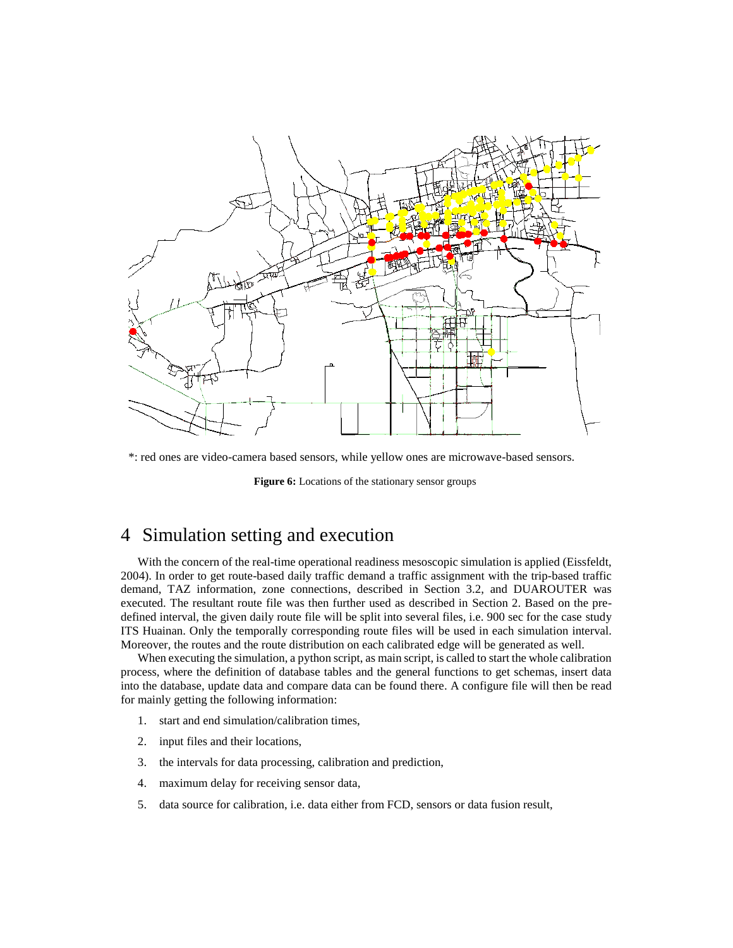

\*: red ones are video-camera based sensors, while yellow ones are microwave-based sensors.

<span id="page-7-0"></span>**Figure 6:** Locations of the stationary sensor groups

# 4 Simulation setting and execution

With the concern of the real-time operational readiness mesoscopic simulation is applied (Eissfeldt, 2004). In order to get route-based daily traffic demand a traffic assignment with the trip-based traffic demand, TAZ information, zone connections, described in Section [3.2,](#page-5-1) and DUAROUTER was executed. The resultant route file was then further used as described in Section [2.](#page-1-0) Based on the predefined interval, the given daily route file will be split into several files, i.e. 900 sec for the case study ITS Huainan. Only the temporally corresponding route files will be used in each simulation interval. Moreover, the routes and the route distribution on each calibrated edge will be generated as well.

When executing the simulation, a python script, as main script, is called to start the whole calibration process, where the definition of database tables and the general functions to get schemas, insert data into the database, update data and compare data can be found there. A configure file will then be read for mainly getting the following information:

- 1. start and end simulation/calibration times,
- 2. input files and their locations,
- 3. the intervals for data processing, calibration and prediction,
- 4. maximum delay for receiving sensor data,
- 5. data source for calibration, i.e. data either from FCD, sensors or data fusion result,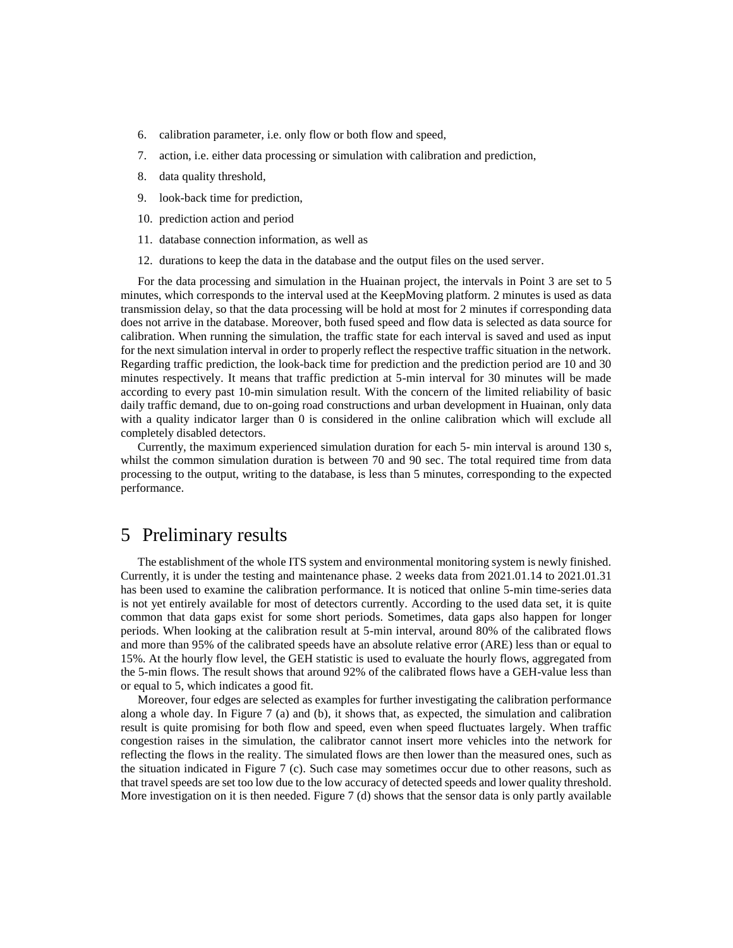- 6. calibration parameter, i.e. only flow or both flow and speed,
- 7. action, i.e. either data processing or simulation with calibration and prediction,
- 8. data quality threshold,
- 9. look-back time for prediction,
- 10. prediction action and period
- 11. database connection information, as well as
- 12. durations to keep the data in the database and the output files on the used server.

For the data processing and simulation in the Huainan project, the intervals in Point 3 are set to 5 minutes, which corresponds to the interval used at the KeepMoving platform. 2 minutes is used as data transmission delay, so that the data processing will be hold at most for 2 minutes if corresponding data does not arrive in the database. Moreover, both fused speed and flow data is selected as data source for calibration. When running the simulation, the traffic state for each interval is saved and used as input for the next simulation interval in order to properly reflect the respective traffic situation in the network. Regarding traffic prediction, the look-back time for prediction and the prediction period are 10 and 30 minutes respectively. It means that traffic prediction at 5-min interval for 30 minutes will be made according to every past 10-min simulation result. With the concern of the limited reliability of basic daily traffic demand, due to on-going road constructions and urban development in Huainan, only data with a quality indicator larger than 0 is considered in the online calibration which will exclude all completely disabled detectors.

Currently, the maximum experienced simulation duration for each 5- min interval is around 130 s, whilst the common simulation duration is between 70 and 90 sec. The total required time from data processing to the output, writing to the database, is less than 5 minutes, corresponding to the expected performance.

# 5 Preliminary results

The establishment of the whole ITS system and environmental monitoring system is newly finished. Currently, it is under the testing and maintenance phase. 2 weeks data from 2021.01.14 to 2021.01.31 has been used to examine the calibration performance. It is noticed that online 5-min time-series data is not yet entirely available for most of detectors currently. According to the used data set, it is quite common that data gaps exist for some short periods. Sometimes, data gaps also happen for longer periods. When looking at the calibration result at 5-min interval, around 80% of the calibrated flows and more than 95% of the calibrated speeds have an absolute relative error (ARE) less than or equal to 15%. At the hourly flow level, the GEH statistic is used to evaluate the hourly flows, aggregated from the 5-min flows. The result shows that around 92% of the calibrated flows have a GEH-value less than or equal to 5, which indicates a good fit.

Moreover, four edges are selected as examples for further investigating the calibration performance along a whole day. In [Figure 7](#page-9-0) (a) and (b), it shows that, as expected, the simulation and calibration result is quite promising for both flow and speed, even when speed fluctuates largely. When traffic congestion raises in the simulation, the calibrator cannot insert more vehicles into the network for reflecting the flows in the reality. The simulated flows are then lower than the measured ones, such as the situation indicated in [Figure 7](#page-9-0) (c). Such case may sometimes occur due to other reasons, such as that travel speeds are set too low due to the low accuracy of detected speeds and lower quality threshold. More investigation on it is then needed. [Figure 7](#page-9-0) (d) shows that the sensor data is only partly available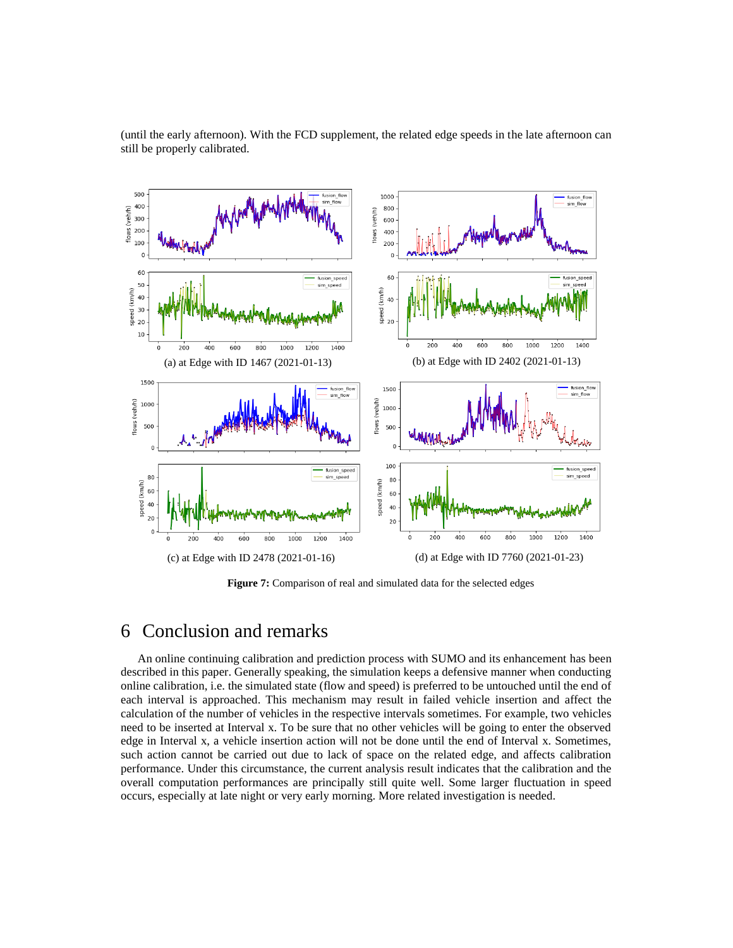

(until the early afternoon). With the FCD supplement, the related edge speeds in the late afternoon can still be properly calibrated.

<span id="page-9-0"></span>**Figure 7:** Comparison of real and simulated data for the selected edges

# 6 Conclusion and remarks

An online continuing calibration and prediction process with SUMO and its enhancement has been described in this paper. Generally speaking, the simulation keeps a defensive manner when conducting online calibration, i.e. the simulated state (flow and speed) is preferred to be untouched until the end of each interval is approached. This mechanism may result in failed vehicle insertion and affect the calculation of the number of vehicles in the respective intervals sometimes. For example, two vehicles need to be inserted at Interval x. To be sure that no other vehicles will be going to enter the observed edge in Interval x, a vehicle insertion action will not be done until the end of Interval x. Sometimes, such action cannot be carried out due to lack of space on the related edge, and affects calibration performance. Under this circumstance, the current analysis result indicates that the calibration and the overall computation performances are principally still quite well. Some larger fluctuation in speed occurs, especially at late night or very early morning. More related investigation is needed.